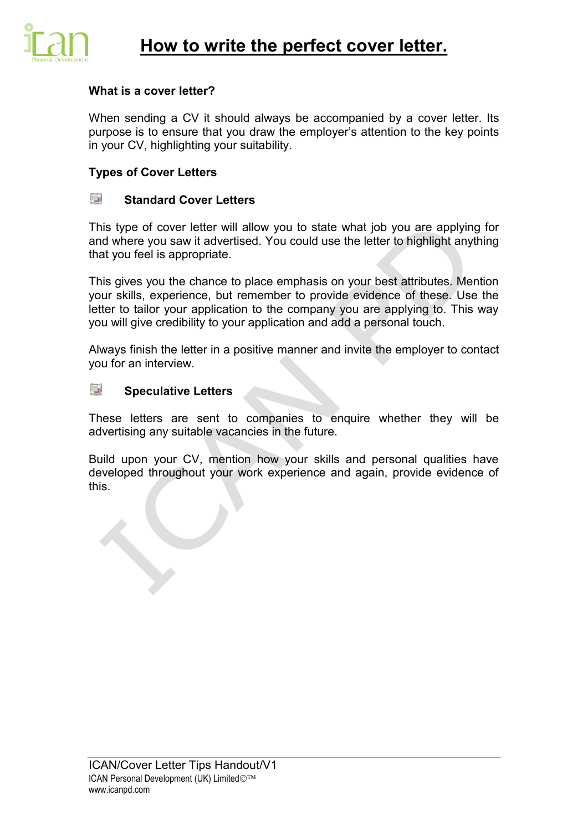

### **What is a cover letter?**

When sending a CV it should always be accompanied by a cover letter. Its purpose is to ensure that you draw the employer's attention to the key points in your CV, highlighting your suitability.

## **Types of Cover Letters**

#### G. **Standard Cover Letters**

This type of cover letter will allow you to state what job you are applying for and where you saw it advertised. You could use the letter to highlight anything that you feel is appropriate.

This gives you the chance to place emphasis on your best attributes. Mention your skills, experience, but remember to provide evidence of these. Use the letter to tailor your application to the company you are applying to. This way you will give credibility to your application and add a personal touch.

Always finish the letter in a positive manner and invite the employer to contact you for an interview.

#### GI **Speculative Letters**

These letters are sent to companies to enquire whether they will be advertising any suitable vacancies in the future.

Build upon your CV, mention how your skills and personal qualities have developed throughout your work experience and again, provide evidence of this.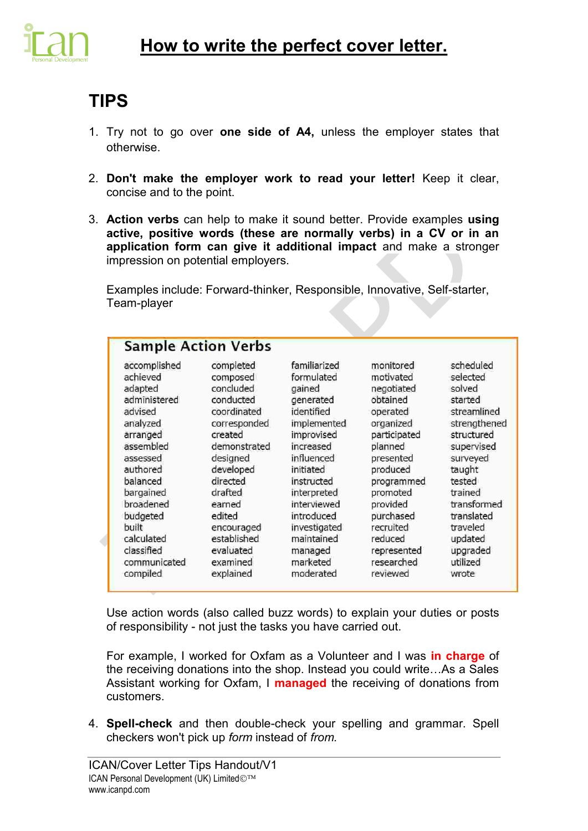

# **TIPS**

- 1. Try not to go over **one side of A4,** unless the employer states that otherwise.
- 2. **Don't make the employer work to read your letter!** Keep it clear, concise and to the point.
- 3. **Action verbs** can help to make it sound better. Provide examples **using active, positive words (these are normally verbs) in a CV or in an application form can give it additional impact** and make a stronger impression on potential employers.

Examples include: Forward-thinker, Responsible, Innovative, Self-starter, Team-player

|              | <b>Sample Action Verbs</b> |              |              |              |
|--------------|----------------------------|--------------|--------------|--------------|
| accomplished | completed                  | familiarized | monitored    | scheduled    |
| achieved     | composed                   | formulated   | motivated    | selected     |
| adapted      | concluded                  | gained       | negotiated   | solved       |
| administered | conducted                  | generated    | obtained     | started      |
| advised      | coordinated                | identified   | operated     | streamlined  |
| analyzed     | corresponded               | implemented  | organized    | strengthened |
| arranged     | created                    | improvised   | participated | structured   |
| assembled    | demonstrated               | increased    | planned      | supervised   |
| assessed     | designed                   | influenced   | presented    | surveyed     |
| authored     | developed                  | initiated    | produced     | taught       |
| balanced     | directed                   | instructed   | programmed   | tested       |
| bargained    | drafted                    | interpreted  | promoted     | trained      |
| broadened    | earned                     | interviewed  | provided     | transformed  |
| budgeted     | edited                     | introduced   | purchased    | translated   |
| built        | encouraged                 | investigated | recruited    | traveled     |
| calculated   | established                | maintained   | reduced      | updated      |
| classified   | evaluated                  | managed      | represented  | upgraded     |
| communicated | examined                   | marketed     | researched   | utilized     |
| compiled     | explained                  | moderated    | reviewed     | wrote        |

Use action words (also called buzz words) to explain your duties or posts of responsibility - not just the tasks you have carried out.

For example, I worked for Oxfam as a Volunteer and I was **in charge** of the receiving donations into the shop. Instead you could write…As a Sales Assistant working for Oxfam, I **managed** the receiving of donations from customers.

4. **Spell-check** and then double-check your spelling and grammar. Spell checkers won't pick up *form* instead of *from.*